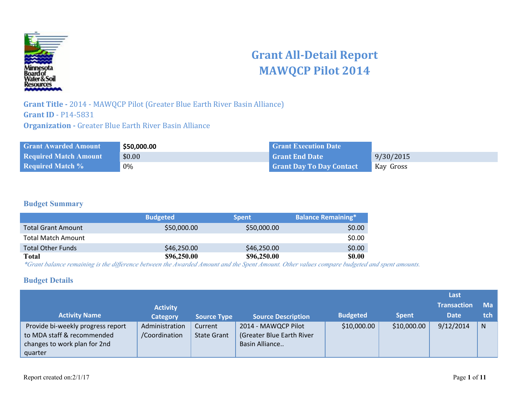

# **Grant All-Detail Report MAWQCP Pilot 2014**

**Grant Title -** 2014 - MAWQCP Pilot (Greater Blue Earth River Basin Alliance) **Grant ID** - P14-5831 **Organization -** Greater Blue Earth River Basin Alliance

| <b>Grant Awarded Amount</b>  | \$50,000.00 | <b>Crant Execution Date</b>     |           |
|------------------------------|-------------|---------------------------------|-----------|
| <b>Required Match Amount</b> | \$0.00      | Grant End Date                  | 9/30/2015 |
| <b>Required Match %</b>      | 0%          | <b>Grant Day To Day Contact</b> | Kay Gross |

## **Budget Summary**

|                           | <b>Budgeted</b> | <b>Spent</b> | <b>Balance Remaining*</b> |
|---------------------------|-----------------|--------------|---------------------------|
| <b>Total Grant Amount</b> | \$50,000.00     | \$50,000.00  | \$0.00                    |
| <b>Total Match Amount</b> |                 |              | \$0.00                    |
| <b>Total Other Funds</b>  | \$46,250.00     | \$46,250.00  | \$0.00                    |
| Total                     | \$96,250.00     | \$96,250.00  | \$0.00                    |

*\*Grant balance remaining is the difference between the Awarded Amount and the Spent Amount. Other values compare budgeted and spent amounts.*

#### **Budget Details**

|                                   |                 |                    |                           |                 |              | Last               |      |
|-----------------------------------|-----------------|--------------------|---------------------------|-----------------|--------------|--------------------|------|
|                                   | <b>Activity</b> |                    |                           |                 |              | <b>Transaction</b> | Ma l |
| <b>Activity Name</b>              | <b>Category</b> | <b>Source Type</b> | <b>Source Description</b> | <b>Budgeted</b> | <b>Spent</b> | <b>Date</b>        | tch  |
| Provide bi-weekly progress report | Administration  | Current            | 2014 - MAWQCP Pilot       | \$10,000.00     | \$10,000.00  | 9/12/2014          | N    |
| to MDA staff & recommended        | /Coordination   | <b>State Grant</b> | (Greater Blue Earth River |                 |              |                    |      |
| changes to work plan for 2nd      |                 |                    | Basin Alliance            |                 |              |                    |      |
| quarter                           |                 |                    |                           |                 |              |                    |      |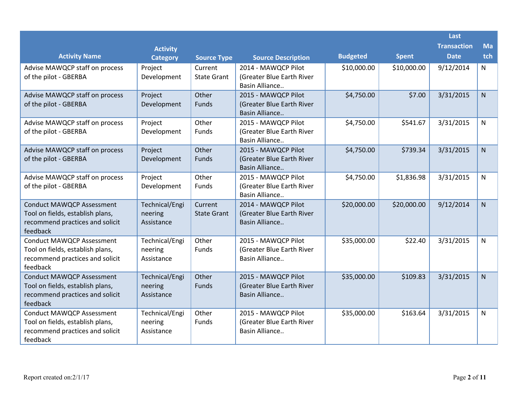|                                                                     |                       |                    |                                             |                 |              | Last               |              |
|---------------------------------------------------------------------|-----------------------|--------------------|---------------------------------------------|-----------------|--------------|--------------------|--------------|
|                                                                     | <b>Activity</b>       |                    |                                             |                 |              | <b>Transaction</b> | Ma           |
| <b>Activity Name</b>                                                | <b>Category</b>       | <b>Source Type</b> | <b>Source Description</b>                   | <b>Budgeted</b> | <b>Spent</b> | <b>Date</b>        | tch          |
| Advise MAWQCP staff on process                                      | Project               | Current            | 2014 - MAWQCP Pilot                         | \$10,000.00     | \$10,000.00  | 9/12/2014          | $\mathsf{N}$ |
| of the pilot - GBERBA                                               | Development           | <b>State Grant</b> | (Greater Blue Earth River<br>Basin Alliance |                 |              |                    |              |
| Advise MAWQCP staff on process                                      | Project               | Other              | 2015 - MAWQCP Pilot                         | \$4,750.00      | \$7.00       | 3/31/2015          | $\mathsf{N}$ |
| of the pilot - GBERBA                                               | Development           | Funds              | (Greater Blue Earth River<br>Basin Alliance |                 |              |                    |              |
| Advise MAWQCP staff on process                                      | Project               | Other              | 2015 - MAWQCP Pilot                         | \$4,750.00      | \$541.67     | 3/31/2015          | N            |
| of the pilot - GBERBA                                               | Development           | Funds              | (Greater Blue Earth River<br>Basin Alliance |                 |              |                    |              |
| Advise MAWQCP staff on process                                      | Project               | Other              | 2015 - MAWQCP Pilot                         | \$4,750.00      | \$739.34     | 3/31/2015          | N            |
| of the pilot - GBERBA                                               | Development           | Funds              | (Greater Blue Earth River<br>Basin Alliance |                 |              |                    |              |
| Advise MAWQCP staff on process                                      | Project               | Other              | 2015 - MAWQCP Pilot                         | \$4,750.00      | \$1,836.98   | 3/31/2015          | N            |
| of the pilot - GBERBA                                               | Development           | Funds              | (Greater Blue Earth River<br>Basin Alliance |                 |              |                    |              |
| <b>Conduct MAWQCP Assessment</b>                                    | Technical/Engi        | Current            | 2014 - MAWQCP Pilot                         | \$20,000.00     | \$20,000.00  | 9/12/2014          | $\mathsf{N}$ |
| Tool on fields, establish plans,                                    | neering               | <b>State Grant</b> | (Greater Blue Earth River)                  |                 |              |                    |              |
| recommend practices and solicit<br>feedback                         | Assistance            |                    | Basin Alliance                              |                 |              |                    |              |
| <b>Conduct MAWQCP Assessment</b>                                    | Technical/Engi        | Other              | 2015 - MAWQCP Pilot                         | \$35,000.00     | \$22.40      | 3/31/2015          | N            |
| Tool on fields, establish plans,<br>recommend practices and solicit | neering<br>Assistance | Funds              | (Greater Blue Earth River<br>Basin Alliance |                 |              |                    |              |
| feedback                                                            |                       |                    |                                             |                 |              |                    |              |
| <b>Conduct MAWQCP Assessment</b>                                    | Technical/Engi        | Other              | 2015 - MAWQCP Pilot                         | \$35,000.00     | \$109.83     | 3/31/2015          | $\mathsf{N}$ |
| Tool on fields, establish plans,                                    | neering               | Funds              | (Greater Blue Earth River                   |                 |              |                    |              |
| recommend practices and solicit<br>feedback                         | Assistance            |                    | Basin Alliance                              |                 |              |                    |              |
| <b>Conduct MAWQCP Assessment</b>                                    | Technical/Engi        | Other              | 2015 - MAWQCP Pilot                         | \$35,000.00     | \$163.64     | 3/31/2015          | N            |
| Tool on fields, establish plans,                                    | neering               | Funds              | (Greater Blue Earth River                   |                 |              |                    |              |
| recommend practices and solicit<br>feedback                         | Assistance            |                    | Basin Alliance                              |                 |              |                    |              |
|                                                                     |                       |                    |                                             |                 |              |                    |              |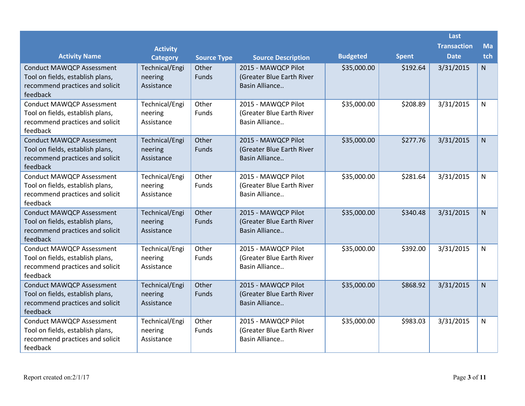|                                                                                                                     |                                         |                       |                                                                    |                 |              | Last               |              |
|---------------------------------------------------------------------------------------------------------------------|-----------------------------------------|-----------------------|--------------------------------------------------------------------|-----------------|--------------|--------------------|--------------|
|                                                                                                                     | <b>Activity</b>                         |                       |                                                                    |                 |              | <b>Transaction</b> | Ma           |
| <b>Activity Name</b>                                                                                                | <b>Category</b>                         | <b>Source Type</b>    | <b>Source Description</b>                                          | <b>Budgeted</b> | <b>Spent</b> | <b>Date</b>        | tch          |
| <b>Conduct MAWQCP Assessment</b><br>Tool on fields, establish plans,<br>recommend practices and solicit<br>feedback | Technical/Engi<br>neering<br>Assistance | Other<br>Funds        | 2015 - MAWQCP Pilot<br>(Greater Blue Earth River<br>Basin Alliance | \$35,000.00     | \$192.64     | 3/31/2015          | N            |
| <b>Conduct MAWQCP Assessment</b><br>Tool on fields, establish plans,<br>recommend practices and solicit<br>feedback | Technical/Engi<br>neering<br>Assistance | Other<br>Funds        | 2015 - MAWQCP Pilot<br>(Greater Blue Earth River<br>Basin Alliance | \$35,000.00     | \$208.89     | 3/31/2015          | N            |
| <b>Conduct MAWQCP Assessment</b><br>Tool on fields, establish plans,<br>recommend practices and solicit<br>feedback | Technical/Engi<br>neering<br>Assistance | Other<br>Funds        | 2015 - MAWQCP Pilot<br>(Greater Blue Earth River<br>Basin Alliance | \$35,000.00     | \$277.76     | 3/31/2015          | $\mathsf{N}$ |
| <b>Conduct MAWQCP Assessment</b><br>Tool on fields, establish plans,<br>recommend practices and solicit<br>feedback | Technical/Engi<br>neering<br>Assistance | Other<br>Funds        | 2015 - MAWQCP Pilot<br>(Greater Blue Earth River<br>Basin Alliance | \$35,000.00     | \$281.64     | 3/31/2015          | N            |
| <b>Conduct MAWQCP Assessment</b><br>Tool on fields, establish plans,<br>recommend practices and solicit<br>feedback | Technical/Engi<br>neering<br>Assistance | Other<br><b>Funds</b> | 2015 - MAWQCP Pilot<br>(Greater Blue Earth River<br>Basin Alliance | \$35,000.00     | \$340.48     | 3/31/2015          | ${\sf N}$    |
| <b>Conduct MAWQCP Assessment</b><br>Tool on fields, establish plans,<br>recommend practices and solicit<br>feedback | Technical/Engi<br>neering<br>Assistance | Other<br>Funds        | 2015 - MAWQCP Pilot<br>(Greater Blue Earth River<br>Basin Alliance | \$35,000.00     | \$392.00     | 3/31/2015          | N            |
| <b>Conduct MAWQCP Assessment</b><br>Tool on fields, establish plans,<br>recommend practices and solicit<br>feedback | Technical/Engi<br>neering<br>Assistance | Other<br>Funds        | 2015 - MAWQCP Pilot<br>(Greater Blue Earth River<br>Basin Alliance | \$35,000.00     | \$868.92     | 3/31/2015          | $\mathsf{N}$ |
| <b>Conduct MAWQCP Assessment</b><br>Tool on fields, establish plans,<br>recommend practices and solicit<br>feedback | Technical/Engi<br>neering<br>Assistance | Other<br>Funds        | 2015 - MAWQCP Pilot<br>(Greater Blue Earth River<br>Basin Alliance | \$35,000.00     | \$983.03     | 3/31/2015          | N            |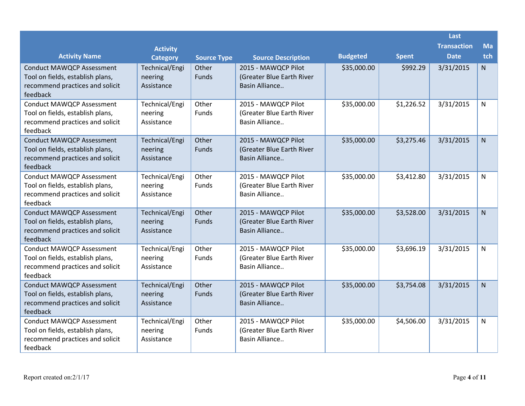|                                                                                                                     |                                         |                    |                                                                    |                 |              | Last               |              |
|---------------------------------------------------------------------------------------------------------------------|-----------------------------------------|--------------------|--------------------------------------------------------------------|-----------------|--------------|--------------------|--------------|
|                                                                                                                     | <b>Activity</b>                         |                    |                                                                    |                 |              | <b>Transaction</b> | Ma           |
| <b>Activity Name</b>                                                                                                | <b>Category</b>                         | <b>Source Type</b> | <b>Source Description</b>                                          | <b>Budgeted</b> | <b>Spent</b> | <b>Date</b>        | tch          |
| <b>Conduct MAWQCP Assessment</b><br>Tool on fields, establish plans,<br>recommend practices and solicit<br>feedback | Technical/Engi<br>neering<br>Assistance | Other<br>Funds     | 2015 - MAWQCP Pilot<br>(Greater Blue Earth River<br>Basin Alliance | \$35,000.00     | \$992.29     | 3/31/2015          | N            |
| <b>Conduct MAWQCP Assessment</b><br>Tool on fields, establish plans,<br>recommend practices and solicit<br>feedback | Technical/Engi<br>neering<br>Assistance | Other<br>Funds     | 2015 - MAWQCP Pilot<br>(Greater Blue Earth River<br>Basin Alliance | \$35,000.00     | \$1,226.52   | 3/31/2015          | N            |
| <b>Conduct MAWQCP Assessment</b><br>Tool on fields, establish plans,<br>recommend practices and solicit<br>feedback | Technical/Engi<br>neering<br>Assistance | Other<br>Funds     | 2015 - MAWQCP Pilot<br>(Greater Blue Earth River<br>Basin Alliance | \$35,000.00     | \$3,275.46   | 3/31/2015          | $\mathsf{N}$ |
| <b>Conduct MAWQCP Assessment</b><br>Tool on fields, establish plans,<br>recommend practices and solicit<br>feedback | Technical/Engi<br>neering<br>Assistance | Other<br>Funds     | 2015 - MAWQCP Pilot<br>(Greater Blue Earth River<br>Basin Alliance | \$35,000.00     | \$3,412.80   | 3/31/2015          | N            |
| <b>Conduct MAWQCP Assessment</b><br>Tool on fields, establish plans,<br>recommend practices and solicit<br>feedback | Technical/Engi<br>neering<br>Assistance | Other<br>Funds     | 2015 - MAWQCP Pilot<br>(Greater Blue Earth River<br>Basin Alliance | \$35,000.00     | \$3,528.00   | 3/31/2015          | $\mathsf{N}$ |
| <b>Conduct MAWQCP Assessment</b><br>Tool on fields, establish plans,<br>recommend practices and solicit<br>feedback | Technical/Engi<br>neering<br>Assistance | Other<br>Funds     | 2015 - MAWQCP Pilot<br>(Greater Blue Earth River<br>Basin Alliance | \$35,000.00     | \$3,696.19   | 3/31/2015          | N            |
| <b>Conduct MAWQCP Assessment</b><br>Tool on fields, establish plans,<br>recommend practices and solicit<br>feedback | Technical/Engi<br>neering<br>Assistance | Other<br>Funds     | 2015 - MAWQCP Pilot<br>(Greater Blue Earth River<br>Basin Alliance | \$35,000.00     | \$3,754.08   | 3/31/2015          | $\mathsf{N}$ |
| <b>Conduct MAWQCP Assessment</b><br>Tool on fields, establish plans,<br>recommend practices and solicit<br>feedback | Technical/Engi<br>neering<br>Assistance | Other<br>Funds     | 2015 - MAWQCP Pilot<br>(Greater Blue Earth River<br>Basin Alliance | \$35,000.00     | \$4,506.00   | 3/31/2015          | N            |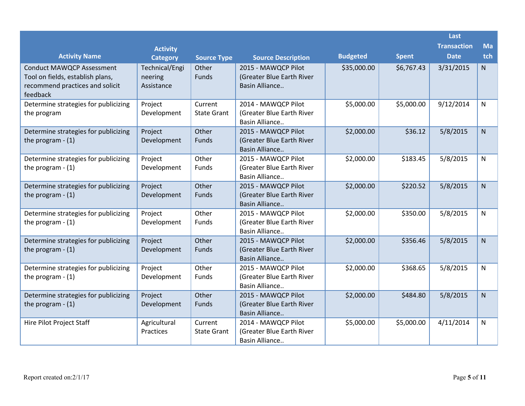|                                                                                                                     |                                         |                               |                                                                     |                 |              | Last               |              |
|---------------------------------------------------------------------------------------------------------------------|-----------------------------------------|-------------------------------|---------------------------------------------------------------------|-----------------|--------------|--------------------|--------------|
|                                                                                                                     | <b>Activity</b>                         |                               |                                                                     |                 |              | <b>Transaction</b> | Ma           |
| <b>Activity Name</b>                                                                                                | <b>Category</b>                         | <b>Source Type</b>            | <b>Source Description</b>                                           | <b>Budgeted</b> | <b>Spent</b> | <b>Date</b>        | tch          |
| <b>Conduct MAWQCP Assessment</b><br>Tool on fields, establish plans,<br>recommend practices and solicit<br>feedback | Technical/Engi<br>neering<br>Assistance | Other<br>Funds                | 2015 - MAWQCP Pilot<br>(Greater Blue Earth River<br>Basin Alliance  | \$35,000.00     | \$6,767.43   | 3/31/2015          | $\mathsf{N}$ |
| Determine strategies for publicizing<br>the program                                                                 | Project<br>Development                  | Current<br><b>State Grant</b> | 2014 - MAWQCP Pilot<br>(Greater Blue Earth River<br>Basin Alliance  | \$5,000.00      | \$5,000.00   | 9/12/2014          | N            |
| Determine strategies for publicizing<br>the program $- (1)$                                                         | Project<br>Development                  | Other<br>Funds                | 2015 - MAWQCP Pilot<br>(Greater Blue Earth River<br>Basin Alliance  | \$2,000.00      | \$36.12      | 5/8/2015           | N.           |
| Determine strategies for publicizing<br>the program $- (1)$                                                         | Project<br>Development                  | Other<br>Funds                | 2015 - MAWQCP Pilot<br>(Greater Blue Earth River<br>Basin Alliance  | \$2,000.00      | \$183.45     | 5/8/2015           | N            |
| Determine strategies for publicizing<br>the program $- (1)$                                                         | Project<br>Development                  | Other<br>Funds                | 2015 - MAWQCP Pilot<br>(Greater Blue Earth River<br>Basin Alliance  | \$2,000.00      | \$220.52     | 5/8/2015           | N.           |
| Determine strategies for publicizing<br>the program $- (1)$                                                         | Project<br>Development                  | Other<br>Funds                | 2015 - MAWQCP Pilot<br>(Greater Blue Earth River<br>Basin Alliance  | \$2,000.00      | \$350.00     | 5/8/2015           | N            |
| Determine strategies for publicizing<br>the program $- (1)$                                                         | Project<br>Development                  | Other<br>Funds                | 2015 - MAWQCP Pilot<br>(Greater Blue Earth River<br>Basin Alliance  | \$2,000.00      | \$356.46     | 5/8/2015           | $\mathsf{N}$ |
| Determine strategies for publicizing<br>the program $- (1)$                                                         | Project<br>Development                  | Other<br>Funds                | 2015 - MAWQCP Pilot<br>(Greater Blue Earth River)<br>Basin Alliance | \$2,000.00      | \$368.65     | 5/8/2015           | N            |
| Determine strategies for publicizing<br>the program $- (1)$                                                         | Project<br>Development                  | Other<br>Funds                | 2015 - MAWQCP Pilot<br>(Greater Blue Earth River<br>Basin Alliance  | \$2,000.00      | \$484.80     | 5/8/2015           | $\mathsf{N}$ |
| Hire Pilot Project Staff                                                                                            | Agricultural<br>Practices               | Current<br><b>State Grant</b> | 2014 - MAWQCP Pilot<br>(Greater Blue Earth River<br>Basin Alliance  | \$5,000.00      | \$5,000.00   | 4/11/2014          | N            |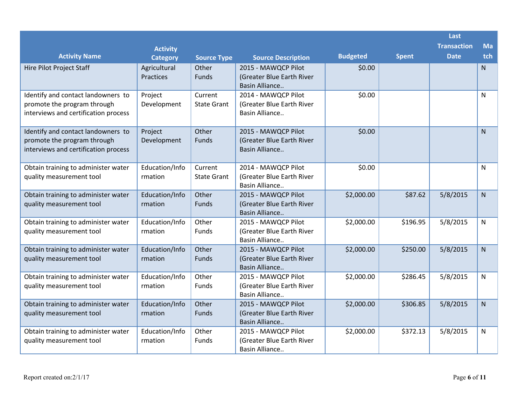|                                                                 |                           |                    |                                                  |                 |              | Last               |              |
|-----------------------------------------------------------------|---------------------------|--------------------|--------------------------------------------------|-----------------|--------------|--------------------|--------------|
|                                                                 | <b>Activity</b>           |                    |                                                  |                 |              | <b>Transaction</b> | Ma           |
| <b>Activity Name</b>                                            | <b>Category</b>           | <b>Source Type</b> | <b>Source Description</b>                        | <b>Budgeted</b> | <b>Spent</b> | <b>Date</b>        | tch          |
| Hire Pilot Project Staff                                        | Agricultural              | Other              | 2015 - MAWQCP Pilot                              | \$0.00          |              |                    | $\mathsf{N}$ |
|                                                                 | Practices                 | Funds              | (Greater Blue Earth River                        |                 |              |                    |              |
|                                                                 |                           |                    | Basin Alliance                                   |                 |              |                    |              |
| Identify and contact landowners to                              | Project                   | Current            | 2014 - MAWQCP Pilot                              | \$0.00          |              |                    | $\mathsf{N}$ |
| promote the program through                                     | Development               | <b>State Grant</b> | (Greater Blue Earth River                        |                 |              |                    |              |
| interviews and certification process                            |                           |                    | Basin Alliance                                   |                 |              |                    |              |
| Identify and contact landowners to                              | Project                   | Other              | 2015 - MAWQCP Pilot                              | \$0.00          |              |                    | $\mathsf{N}$ |
| promote the program through                                     | Development               | Funds              | (Greater Blue Earth River                        |                 |              |                    |              |
| interviews and certification process                            |                           |                    | Basin Alliance                                   |                 |              |                    |              |
|                                                                 |                           |                    |                                                  |                 |              |                    |              |
| Obtain training to administer water                             | Education/Info            | Current            | 2014 - MAWQCP Pilot                              | \$0.00          |              |                    | N            |
| quality measurement tool                                        | rmation                   | <b>State Grant</b> | (Greater Blue Earth River                        |                 |              |                    |              |
|                                                                 |                           |                    | Basin Alliance                                   |                 |              |                    |              |
| Obtain training to administer water                             | Education/Info            | Other              | 2015 - MAWQCP Pilot                              | \$2,000.00      | \$87.62      | 5/8/2015           | $\mathsf{N}$ |
| quality measurement tool                                        | rmation                   | Funds              | (Greater Blue Earth River                        |                 |              |                    |              |
|                                                                 |                           |                    | Basin Alliance                                   |                 |              |                    |              |
| Obtain training to administer water                             | Education/Info            | Other              | 2015 - MAWQCP Pilot                              | \$2,000.00      | \$196.95     | 5/8/2015           | $\mathsf{N}$ |
| quality measurement tool                                        | rmation                   | Funds              | (Greater Blue Earth River                        |                 |              |                    |              |
|                                                                 |                           | Other              | Basin Alliance                                   |                 |              |                    |              |
| Obtain training to administer water<br>quality measurement tool | Education/Info<br>rmation | Funds              | 2015 - MAWQCP Pilot<br>(Greater Blue Earth River | \$2,000.00      | \$250.00     | 5/8/2015           | $\mathsf{N}$ |
|                                                                 |                           |                    | Basin Alliance                                   |                 |              |                    |              |
| Obtain training to administer water                             | Education/Info            | Other              | 2015 - MAWQCP Pilot                              | \$2,000.00      | \$286.45     | 5/8/2015           | N            |
| quality measurement tool                                        | rmation                   | Funds              | (Greater Blue Earth River                        |                 |              |                    |              |
|                                                                 |                           |                    | Basin Alliance                                   |                 |              |                    |              |
| Obtain training to administer water                             | Education/Info            | Other              | 2015 - MAWQCP Pilot                              | \$2,000.00      | \$306.85     | 5/8/2015           | $\mathsf{N}$ |
| quality measurement tool                                        | rmation                   | Funds              | (Greater Blue Earth River                        |                 |              |                    |              |
|                                                                 |                           |                    | Basin Alliance                                   |                 |              |                    |              |
| Obtain training to administer water                             | Education/Info            | Other              | 2015 - MAWQCP Pilot                              | \$2,000.00      | \$372.13     | 5/8/2015           | N            |
| quality measurement tool                                        | rmation                   | Funds              | (Greater Blue Earth River                        |                 |              |                    |              |
|                                                                 |                           |                    | Basin Alliance                                   |                 |              |                    |              |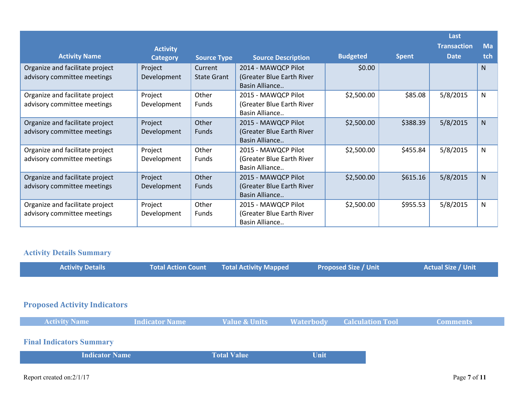|                                                                |                        |                               |                                                                    |                 |              | Last               |              |
|----------------------------------------------------------------|------------------------|-------------------------------|--------------------------------------------------------------------|-----------------|--------------|--------------------|--------------|
|                                                                | <b>Activity</b>        |                               |                                                                    |                 |              | <b>Transaction</b> | <b>Ma</b>    |
| <b>Activity Name</b>                                           | <b>Category</b>        | <b>Source Type</b>            | <b>Source Description</b>                                          | <b>Budgeted</b> | <b>Spent</b> | <b>Date</b>        | tch          |
| Organize and facilitate project<br>advisory committee meetings | Project<br>Development | Current<br><b>State Grant</b> | 2014 - MAWQCP Pilot<br>(Greater Blue Earth River<br>Basin Alliance | \$0.00          |              |                    | N            |
| Organize and facilitate project<br>advisory committee meetings | Project<br>Development | Other<br>Funds                | 2015 - MAWQCP Pilot<br>(Greater Blue Earth River<br>Basin Alliance | \$2,500.00      | \$85.08      | 5/8/2015           | N            |
| Organize and facilitate project<br>advisory committee meetings | Project<br>Development | Other<br><b>Funds</b>         | 2015 - MAWQCP Pilot<br>(Greater Blue Earth River<br>Basin Alliance | \$2,500.00      | \$388.39     | 5/8/2015           | $\mathsf{N}$ |
| Organize and facilitate project<br>advisory committee meetings | Project<br>Development | Other<br><b>Funds</b>         | 2015 - MAWQCP Pilot<br>(Greater Blue Earth River<br>Basin Alliance | \$2,500.00      | \$455.84     | 5/8/2015           | N            |
| Organize and facilitate project<br>advisory committee meetings | Project<br>Development | Other<br><b>Funds</b>         | 2015 - MAWQCP Pilot<br>(Greater Blue Earth River<br>Basin Alliance | \$2,500.00      | \$615.16     | 5/8/2015           | N            |
| Organize and facilitate project<br>advisory committee meetings | Project<br>Development | Other<br><b>Funds</b>         | 2015 - MAWQCP Pilot<br>(Greater Blue Earth River<br>Basin Alliance | \$2,500.00      | \$955.53     | 5/8/2015           | N            |

# **Activity Details Summary**

| <b>Activity Details</b>             | <b>Total Action Count</b> | <b>Total Activity Mapped</b> |                  | <b>Proposed Size / Unit</b> | <b>Actual Size / Unit</b> |
|-------------------------------------|---------------------------|------------------------------|------------------|-----------------------------|---------------------------|
|                                     |                           |                              |                  |                             |                           |
| <b>Proposed Activity Indicators</b> |                           |                              |                  |                             |                           |
| <b>Activity Name</b>                | <b>Indicator Name</b>     | <b>Value &amp; Units</b>     | <b>Waterbody</b> | <b>Calculation Tool</b>     | <b>Comments</b>           |
| <b>Final Indicators Summary</b>     |                           |                              |                  |                             |                           |
| <b>Indicator Name</b>               |                           | <b>Total Value</b>           | Unit             |                             |                           |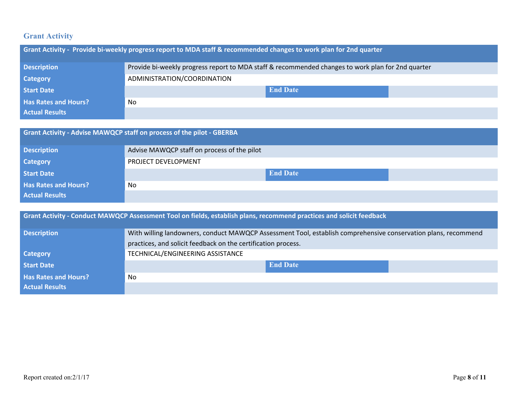# **Grant Activity**

| Grant Activity - Provide bi-weekly progress report to MDA staff & recommended changes to work plan for 2nd quarter |                                                                                                   |  |  |  |
|--------------------------------------------------------------------------------------------------------------------|---------------------------------------------------------------------------------------------------|--|--|--|
| <b>Description</b>                                                                                                 | Provide bi-weekly progress report to MDA staff & recommended changes to work plan for 2nd quarter |  |  |  |
| <b>Category</b>                                                                                                    | ADMINISTRATION/COORDINATION                                                                       |  |  |  |
| <b>Start Date</b>                                                                                                  | <b>End Date</b>                                                                                   |  |  |  |
| <b>Has Rates and Hours?</b>                                                                                        | No                                                                                                |  |  |  |
| <b>Actual Results</b>                                                                                              |                                                                                                   |  |  |  |

|                             | <b>Grant Activity - Advise MAWQCP staff on process of the pilot - GBERBA</b> |  |  |  |
|-----------------------------|------------------------------------------------------------------------------|--|--|--|
| <b>Description</b>          | Advise MAWQCP staff on process of the pilot                                  |  |  |  |
| <b>Category</b>             | PROJECT DEVELOPMENT                                                          |  |  |  |
| <b>Start Date</b>           | <b>End Date</b>                                                              |  |  |  |
| <b>Has Rates and Hours?</b> | No                                                                           |  |  |  |
| <b>Actual Results</b>       |                                                                              |  |  |  |

| Grant Activity - Conduct MAWQCP Assessment Tool on fields, establish plans, recommend practices and solicit feedback |                                                                                                                |  |  |
|----------------------------------------------------------------------------------------------------------------------|----------------------------------------------------------------------------------------------------------------|--|--|
| <b>Description</b>                                                                                                   | With willing landowners, conduct MAWQCP Assessment Tool, establish comprehensive conservation plans, recommend |  |  |
|                                                                                                                      | practices, and solicit feedback on the certification process.                                                  |  |  |
| <b>Category</b>                                                                                                      | TECHNICAL/ENGINEERING ASSISTANCE                                                                               |  |  |
| <b>Start Date</b>                                                                                                    | <b>End Date</b>                                                                                                |  |  |
| <b>Has Rates and Hours?</b>                                                                                          | No.                                                                                                            |  |  |
| <b>Actual Results</b>                                                                                                |                                                                                                                |  |  |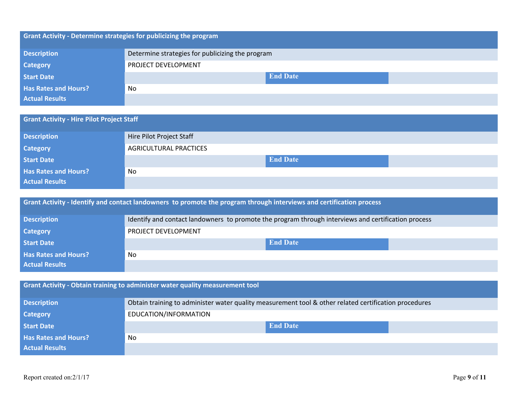| <b>Grant Activity - Determine strategies for publicizing the program</b> |                                                  |                 |  |
|--------------------------------------------------------------------------|--------------------------------------------------|-----------------|--|
| <b>Description</b>                                                       | Determine strategies for publicizing the program |                 |  |
| <b>Category</b>                                                          | PROJECT DEVELOPMENT                              |                 |  |
| <b>Start Date</b>                                                        |                                                  | <b>End Date</b> |  |
| <b>Has Rates and Hours?</b>                                              | No                                               |                 |  |
| <b>Actual Results</b>                                                    |                                                  |                 |  |

| <b>Grant Activity - Hire Pilot Project Staff</b> |                               |  |  |
|--------------------------------------------------|-------------------------------|--|--|
| <b>Description</b>                               | Hire Pilot Project Staff      |  |  |
| <b>Category</b>                                  | <b>AGRICULTURAL PRACTICES</b> |  |  |
| <b>Start Date</b>                                | <b>End Date</b>               |  |  |
| <b>Has Rates and Hours?</b>                      | No.                           |  |  |
| <b>Actual Results</b>                            |                               |  |  |

**Grant Activity - Identify and contact landowners to promote the program through interviews and certification process**

| <b>Description</b>          | Identify and contact landowners to promote the program through interviews and certification process |  |  |
|-----------------------------|-----------------------------------------------------------------------------------------------------|--|--|
| <b>Category</b>             | <b>PROJECT DEVELOPMENT</b>                                                                          |  |  |
| <b>Start Date</b>           | <b>End Date</b>                                                                                     |  |  |
| <b>Has Rates and Hours?</b> | No.                                                                                                 |  |  |
| <b>Actual Results</b>       |                                                                                                     |  |  |

| Grant Activity - Obtain training to administer water quality measurement tool |                                                                                                       |  |  |
|-------------------------------------------------------------------------------|-------------------------------------------------------------------------------------------------------|--|--|
| <b>Description</b>                                                            | Obtain training to administer water quality measurement tool & other related certification procedures |  |  |
| <b>Category</b>                                                               | EDUCATION/INFORMATION                                                                                 |  |  |
| <b>Start Date</b>                                                             | <b>End Date</b>                                                                                       |  |  |
| <b>Has Rates and Hours?</b>                                                   | No                                                                                                    |  |  |
| <b>Actual Results</b>                                                         |                                                                                                       |  |  |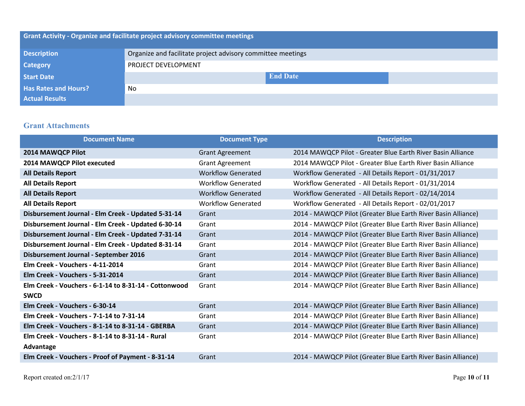| <b>Grant Activity - Organize and facilitate project advisory committee meetings</b> |                                                             |  |  |
|-------------------------------------------------------------------------------------|-------------------------------------------------------------|--|--|
| <b>Description</b>                                                                  | Organize and facilitate project advisory committee meetings |  |  |
| <b>Category</b>                                                                     | PROJECT DEVELOPMENT                                         |  |  |
| <b>Start Date</b>                                                                   | <b>End Date</b>                                             |  |  |
| <b>Has Rates and Hours?</b>                                                         | No                                                          |  |  |
| <b>Actual Results</b>                                                               |                                                             |  |  |

## **Grant Attachments**

| <b>Document Name</b>                                                 | <b>Document Type</b>      | <b>Description</b>                                            |
|----------------------------------------------------------------------|---------------------------|---------------------------------------------------------------|
| 2014 MAWQCP Pilot                                                    | <b>Grant Agreement</b>    | 2014 MAWQCP Pilot - Greater Blue Earth River Basin Alliance   |
| 2014 MAWQCP Pilot executed                                           | <b>Grant Agreement</b>    | 2014 MAWQCP Pilot - Greater Blue Earth River Basin Alliance   |
| <b>All Details Report</b>                                            | <b>Workflow Generated</b> | Workflow Generated - All Details Report - 01/31/2017          |
| <b>All Details Report</b>                                            | <b>Workflow Generated</b> | Workflow Generated - All Details Report - 01/31/2014          |
| <b>All Details Report</b>                                            | <b>Workflow Generated</b> | Workflow Generated - All Details Report - 02/14/2014          |
| <b>All Details Report</b>                                            | <b>Workflow Generated</b> | Workflow Generated - All Details Report - 02/01/2017          |
| Disbursement Journal - Elm Creek - Updated 5-31-14                   | Grant                     | 2014 - MAWQCP Pilot (Greater Blue Earth River Basin Alliance) |
| Disbursement Journal - Elm Creek - Updated 6-30-14                   | Grant                     | 2014 - MAWQCP Pilot (Greater Blue Earth River Basin Alliance) |
| Disbursement Journal - Elm Creek - Updated 7-31-14                   | Grant                     | 2014 - MAWQCP Pilot (Greater Blue Earth River Basin Alliance) |
| Disbursement Journal - Elm Creek - Updated 8-31-14                   | Grant                     | 2014 - MAWQCP Pilot (Greater Blue Earth River Basin Alliance) |
| Disbursement Journal - September 2016                                | Grant                     | 2014 - MAWQCP Pilot (Greater Blue Earth River Basin Alliance) |
| Elm Creek - Vouchers - 4-11-2014                                     | Grant                     | 2014 - MAWQCP Pilot (Greater Blue Earth River Basin Alliance) |
| Elm Creek - Vouchers - 5-31-2014                                     | Grant                     | 2014 - MAWQCP Pilot (Greater Blue Earth River Basin Alliance) |
| Elm Creek - Vouchers - 6-1-14 to 8-31-14 - Cottonwood<br><b>SWCD</b> | Grant                     | 2014 - MAWQCP Pilot (Greater Blue Earth River Basin Alliance) |
| Elm Creek - Vouchers - 6-30-14                                       | Grant                     | 2014 - MAWQCP Pilot (Greater Blue Earth River Basin Alliance) |
| Elm Creek - Vouchers - 7-1-14 to 7-31-14                             | Grant                     | 2014 - MAWQCP Pilot (Greater Blue Earth River Basin Alliance) |
| Elm Creek - Vouchers - 8-1-14 to 8-31-14 - GBERBA                    | Grant                     | 2014 - MAWQCP Pilot (Greater Blue Earth River Basin Alliance) |
| Elm Creek - Vouchers - 8-1-14 to 8-31-14 - Rural                     | Grant                     | 2014 - MAWQCP Pilot (Greater Blue Earth River Basin Alliance) |
| Advantage                                                            |                           |                                                               |
| Elm Creek - Vouchers - Proof of Payment - 8-31-14                    | Grant                     | 2014 - MAWQCP Pilot (Greater Blue Earth River Basin Alliance) |